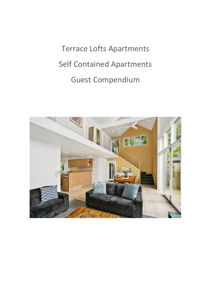Terrace Lofts Apartments Self Contained Apartments Guest Compendium

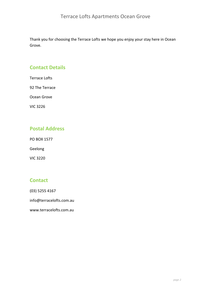Thank you for choosing the Terrace Lofts we hope you enjoy your stay here in Ocean Grove.

# **Contact Details**

Terrace Lofts

92 The Terrace

Ocean Grove

VIC 3226

# **Postal Address**

PO BOX 1577

Geelong

VIC 3220

# **Contact**

(03) 5255 4167

info@terracelofts.com.au

www.terracelofts.com.au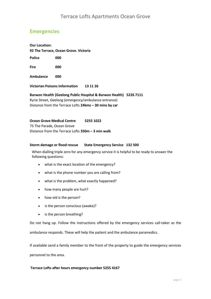# **Emergencies**

**Our Location: 92 The Terrace, Ocean Grove. Victoria Police 000 Fire 000 Ambulance 000** 

**Victorian Poisons Information 13 11 26** 

**Barwon Health (Geelong Public Hospital & Barwon Health) 5226 7111**  Ryrie Street, Geelong (emergency/ambulance entrance) Distance from the Terrace Lofts **24kms – 30 mins by car**

#### **Ocean Grove Medical Centre 5255 1022**

75 The Parade, Ocean Grove Distance from the Terrace Lofts **350m – 3 min walk**

#### **Storm damage or flood rescue State Emergency Service 132 500**

When dialling triple zero for any emergency service it is helpful to be ready to answer the following questions:

- what is the exact location of the emergency?
- what is the phone number you are calling from?
- what is the problem, what exactly happened?
- how many people are hurt?
- how old is the person?
- is the person conscious (awake)?
- is the person breathing?

Do not hang up. Follow the instructions offered by the emergency services call-taker as the ambulance responds. These will help the patient and the ambulance paramedics.

If available send a family member to the front of the property to guide the emergency services personnel to the area.

#### **Terrace Lofts after hours emergency number 5255 4167**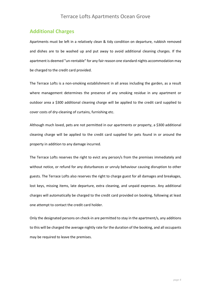#### **Additional Charges**

Apartments must be left in a relatively clean & tidy condition on departure, rubbish removed and dishes are to be washed up and put away to avoid additional cleaning charges. If the apartment is deemed "un-rentable" for any fair reason one standard nights accommodation may be charged to the credit card provided.

The Terrace Lofts is a non-smoking establishment in all areas including the garden, as a result where management determines the presence of any smoking residue in any apartment or outdoor area a \$300 additional cleaning charge will be applied to the credit card supplied to cover costs of dry-cleaning of curtains, furnishing etc.

Although much loved, pets are not permitted in our apartments or property, a \$300 additional cleaning charge will be applied to the credit card supplied for pets found in or around the property in addition to any damage incurred.

The Terrace Lofts reserves the right to evict any person/s from the premises immediately and without notice, or refund for any disturbances or unruly behaviour causing disruption to other guests. The Terrace Lofts also reserves the right to charge guest for all damages and breakages, lost keys, missing items, late departure, extra cleaning, and unpaid expenses. Any additional charges will automatically be charged to the credit card provided on booking, following at least one attempt to contact the credit card holder.

Only the designated persons on check-in are permitted to stay in the apartment/s, any additions to this will be charged the average nightly rate for the duration of the booking, and all occupants may be required to leave the premises.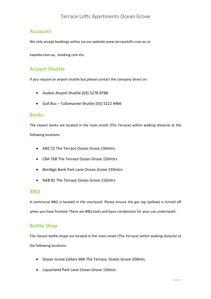## **Accounts**

We only accept bookings online via our website www.terracelofts.com.au or

expedia.com.au, booking.com etc.

# **Airport Shuttle**

If you require an airport shuttle bus please contact the company direct on:

- Avalon Airport Shuttle (03) 5278 8788
- Gull Bus Tullamarine Shuttle (03) 5222 4966

#### **Banks**

The closest banks are located in the main street (The Terrace) within walking distance at the following locations

- ANZ 72 The Terrace Ocean Grove 150mtrs
- CBA 76B The Terrace Ocean Grove 150mtrs
- Bendigo Bank Park Lane Ocean Grove 150mtrs
- NAB 81 The Terrace Ocean Grove 150mtrs

#### **BBQ**

A communal BBQ is located in the courtyard. Please ensure the gas tap (yellow) is turned off when you have finished. There are BBQ tools and basic condiments for your use underneath.

# **Bottle Shop**

The closest bottle shops are located in the main street (The Terrace) within walking distance at the following locations:

- Ocean Grove Cellars 68A The Terrace, Ocean Grove 200mts
- Liquorland Park Lane Ocean Grove 150mts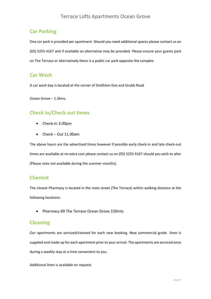# **Car Parking**

One car park is provided per apartment. Should you need additional spaces please contact us on (03) 5255 4167 and if available an alternative may be provided. Please ensure your guests park on The Terrace or alternatively there is a public car park opposite the complex.

#### **Car Wash**

A car wash bay is located at the corner of Smithton Gve and Grubb Road

Ocean Grove – 1.5kms.

## **Check in/Check out times**

- Check-In 3.00pm
- Check Out 11.00am

The above hours are the advertised times however if possible early check-in and late check-out times are available at no extra cost please contact us on (03) 5255 4167 should you wish to alter (Please note not available during the summer months).

#### **Chemist**

The closest Pharmacy is located in the main street (The Terrace) within walking distance at the following locations:

• Pharmacy 69 The Terrace Ocean Grove 150mts

#### **Cleaning**

Our apartments are serviced/cleaned for each new booking. New commercial grade linen is supplied and made up for each apartment prior to your arrival. The apartments are serviced once during a weekly stay at a time convenient to you.

Additional linen is available on request.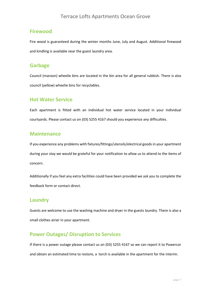#### **Firewood**

Fire wood is guaranteed during the winter months June, July and August. Additional firewood and kindling is available near the guest laundry area.

#### **Garbage**

Council (maroon) wheelie bins are located in the bin area for all general rubbish. There is also council (yellow) wheelie bins for recyclables.

#### **Hot Water Service**

Each apartment is fitted with an individual hot water service located in your individual courtyards. Please contact us on (03) 5255 4167 should you experience any difficulties.

#### **Maintenance**

If you experience any problems with fixtures/fittings/utensils/electrical goods in your apartment during your stay we would be grateful for your notification to allow us to attend to the items of concern.

Additionally if you feel any extra facilities could have been provided we ask you to complete the feedback form or contact direct.

#### **Laundry**

Guests are welcome to use the washing machine and dryer in the guests laundry. There is also a small clothes airier in your apartment.

# **Power Outages/ Disruption to Services**

If there is a power outage please contact us on (03) 5255 4167 so we can report it to Powercor and obtain an estimated time to restore, a torch is available in the apartment for the interim.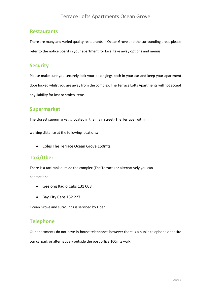#### **Restaurants**

There are many and varied quality restaurants in Ocean Grove and the surrounding areas please refer to the notice board in your apartment for local take away options and menus.

# **Security**

Please make sure you securely lock your belongings both in your car and keep your apartment door locked whilst you are away from the complex. The Terrace Lofts Apartments will not accept any liability for lost or stolen items.

#### **Supermarket**

The closest supermarket is located in the main street (The Terrace) within

walking distance at the following locations:

• Coles The Terrace Ocean Grove 150mts

#### **Taxi/Uber**

There is a taxi rank outside the complex (The Terrace) or alternatively you can contact on:

- Geelong Radio Cabs 131 008
- Bay City Cabs 132 227

Ocean Grove and surrounds is serviced by Uber

#### **Telephone**

Our apartments do not have in-house telephones however there is a public telephone opposite our carpark or alternatively outside the post office 100mts walk.